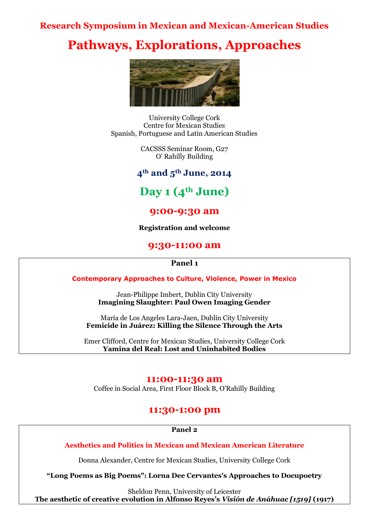### **Research Symposium in Mexican and Mexican-American Studies**

# **Pathways, Explorations, Approaches**



University College Cork Centre for Mexican Studies Spanish, Portuguese and Latin American Studies

> CACSSS Seminar Room, G27 O' Rahilly Building

**4th and 5th June, 2014**

# **Day 1 (4th June)**

### **9:00-9:30 am**

**Registration and welcome**

### **9:30-11:00 am**

#### **Panel 1**

**Contemporary Approaches to Culture, Violence, Power in Mexico**

Jean-Philippe Imbert, Dublin City University **Imagining Slaughter: Paul Owen Imaging Gender**

María de Los Angeles Lara-Jaen, Dublin City University **Femicide in Juárez: Killing the Silence Through the Arts**

Emer Clifford, Centre for Mexican Studies, University College Cork **Yamina del Real: Lost and Uninhabited Bodies**

#### **11:00-11:30 am**

Coffee in Social Area, First Floor Block B, O'Rahilly Building

### **11:30-1:00 pm**

**Panel 2**

**Aesthetics and Politics in Mexican and Mexican American Literature**

Donna Alexander, Centre for Mexican Studies, University College Cork

**"Long Poems as Big Poems": Lorna Dee Cervantes's Approaches to Docupoetry**

Sheldon Penn, University of Leicester **The aesthetic of creative evolution in Alfonso Reyes"s** *Visión de Anáhuac [1519]* **(1917)**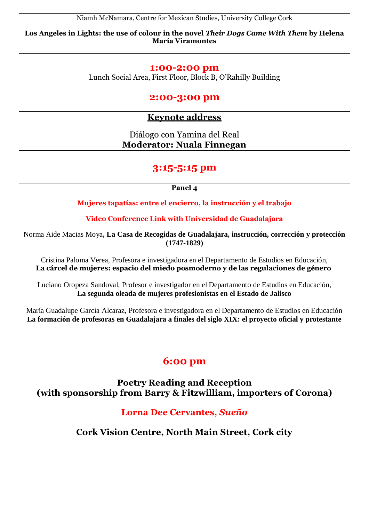Niamh McNamara, Centre for Mexican Studies, University College Cork

**Los Angeles in Lights: the use of colour in the novel** *Their Dogs Came With Them* **by Helena María Viramontes**

### **1:00-2:00 pm**

Lunch Social Area, First Floor, Block B, O'Rahilly Building

### **2:00-3:00 pm**

### **Keynote address**

Diálogo con Yamina del Real **Moderator: Nuala Finnegan**

### **3:15-5:15 pm**

**Panel 4**

**Mujeres tapatías: entre el encierro, la instrucción y el trabajo**

**Video Conference Link with Universidad de Guadalajara**

Norma Aide Macias Moya**, La Casa de Recogidas de Guadalajara, instrucción, corrección y protección (1747-1829)**

Cristina Paloma Verea, Profesora e investigadora en el Departamento de Estudios en Educación, **La cárcel de mujeres: espacio del miedo posmoderno y de las regulaciones de género**

Luciano Oropeza Sandoval, Profesor e investigador en el Departamento de Estudios en Educación, **La segunda oleada de mujeres profesionistas en el Estado de Jalisco**

María Guadalupe García Alcaraz, Profesora e investigadora en el Departamento de Estudios en Educación **La formación de profesoras en Guadalajara a finales del siglo XIX: el proyecto oficial y protestante**

# **6:00 pm**

**Poetry Reading and Reception (with sponsorship from Barry & Fitzwilliam, importers of Corona)**

### **Lorna Dee Cervantes,** *Sueño*

**Cork Vision Centre, North Main Street, Cork city**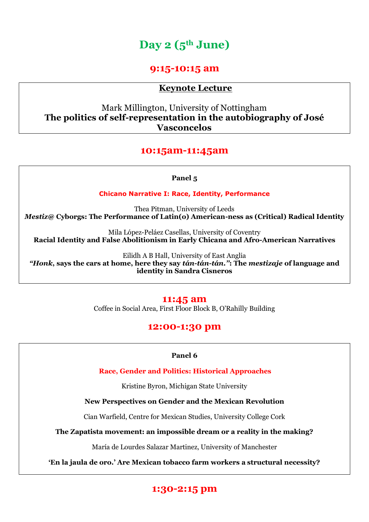# **Day 2 (5th June)**

### **9:15-10:15 am**

### **Keynote Lecture**

Mark Millington, University of Nottingham **The politics of self-representation in the autobiography of José Vasconcelos**

### **10:15am-11:45am**

#### **Panel 5**

**Chicano Narrative I: Race, Identity, Performance**

Thea Pitman, University of Leeds *Mestiz@* **Cyborgs: The Performance of Latin(o) American-ness as (Critical) Radical Identity**

Mila López-Peláez Casellas, University of Coventry **Racial Identity and False Abolitionism in Early Chicana and Afro-American Narratives**

Eilidh A B Hall, University of East Anglia *"Honk***, says the cars at home, here they say** *tán-tán-tán.''***: The** *mestizaje* **of language and identity in Sandra Cisneros**

#### **11:45 am**

Coffee in Social Area, First Floor Block B, O'Rahilly Building

### **12:00-1:30 pm**

#### **Panel 6**

**Race, Gender and Politics: Historical Approaches**

Kristine Byron, Michigan State University

#### **New Perspectives on Gender and the Mexican Revolution**

Cian Warfield, Centre for Mexican Studies, University College Cork

**The Zapatista movement: an impossible dream or a reality in the making?**

María de Lourdes Salazar Martinez, University of Manchester

**"En la jaula de oro." Are Mexican tobacco farm workers a structural necessity?**

### **1:30-2:15 pm**